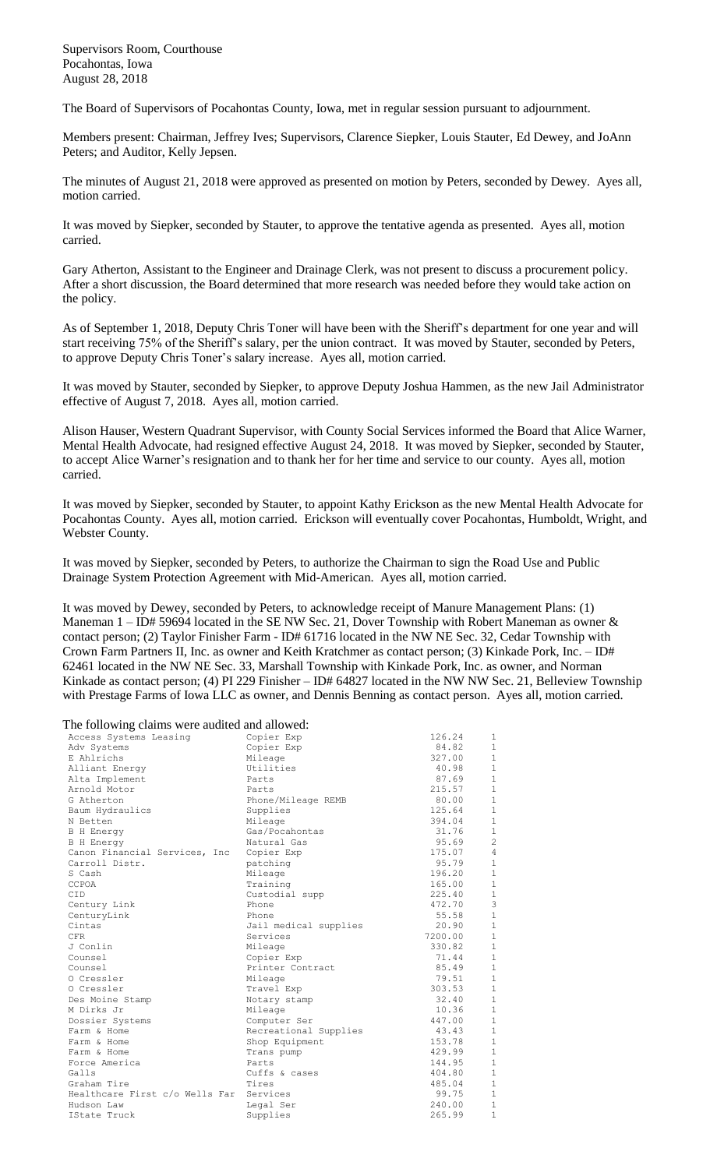Supervisors Room, Courthouse Pocahontas, Iowa August 28, 2018

The Board of Supervisors of Pocahontas County, Iowa, met in regular session pursuant to adjournment.

Members present: Chairman, Jeffrey Ives; Supervisors, Clarence Siepker, Louis Stauter, Ed Dewey, and JoAnn Peters; and Auditor, Kelly Jepsen.

The minutes of August 21, 2018 were approved as presented on motion by Peters, seconded by Dewey. Ayes all, motion carried.

It was moved by Siepker, seconded by Stauter, to approve the tentative agenda as presented. Ayes all, motion carried.

Gary Atherton, Assistant to the Engineer and Drainage Clerk, was not present to discuss a procurement policy. After a short discussion, the Board determined that more research was needed before they would take action on the policy.

As of September 1, 2018, Deputy Chris Toner will have been with the Sheriff's department for one year and will start receiving 75% of the Sheriff's salary, per the union contract. It was moved by Stauter, seconded by Peters, to approve Deputy Chris Toner's salary increase. Ayes all, motion carried.

It was moved by Stauter, seconded by Siepker, to approve Deputy Joshua Hammen, as the new Jail Administrator effective of August 7, 2018. Ayes all, motion carried.

Alison Hauser, Western Quadrant Supervisor, with County Social Services informed the Board that Alice Warner, Mental Health Advocate, had resigned effective August 24, 2018. It was moved by Siepker, seconded by Stauter, to accept Alice Warner's resignation and to thank her for her time and service to our county. Ayes all, motion carried.

It was moved by Siepker, seconded by Stauter, to appoint Kathy Erickson as the new Mental Health Advocate for Pocahontas County. Ayes all, motion carried. Erickson will eventually cover Pocahontas, Humboldt, Wright, and Webster County.

It was moved by Siepker, seconded by Peters, to authorize the Chairman to sign the Road Use and Public Drainage System Protection Agreement with Mid-American. Ayes all, motion carried.

It was moved by Dewey, seconded by Peters, to acknowledge receipt of Manure Management Plans: (1) Maneman  $1 - ID# 59694$  located in the SE NW Sec. 21, Dover Township with Robert Maneman as owner & contact person; (2) Taylor Finisher Farm - ID# 61716 located in the NW NE Sec. 32, Cedar Township with Crown Farm Partners II, Inc. as owner and Keith Kratchmer as contact person; (3) Kinkade Pork, Inc. – ID# 62461 located in the NW NE Sec. 33, Marshall Township with Kinkade Pork, Inc. as owner, and Norman Kinkade as contact person; (4) PI 229 Finisher – ID# 64827 located in the NW NW Sec. 21, Belleview Township with Prestage Farms of Iowa LLC as owner, and Dennis Benning as contact person. Ayes all, motion carried.

The following claims were audited and allowed:

| Access Systems Leasing         | Copier Exp            | 126.24  | 1              |
|--------------------------------|-----------------------|---------|----------------|
| Adv Systems                    | Copier Exp            | 84.82   | $\mathbf{1}$   |
| E Ahlrichs                     | Mileage               | 327.00  | $\mathbf{1}$   |
| Alliant Energy                 | Utilities             | 40.98   | $\mathbf{1}$   |
| Alta Implement                 | Parts                 | 87.69   | $\mathbf{1}$   |
| Arnold Motor                   | Parts                 | 215.57  | $\mathbf{1}$   |
| G Atherton                     | Phone/Mileage REMB    | 80.00   | $\mathbf{1}$   |
| Baum Hydraulics                | Supplies              | 125.64  | $\mathbf{1}$   |
| N Betten                       | Mileage               | 394.04  | $\mathbf{1}$   |
| <b>B</b> H Energy              | Gas/Pocahontas        | 31.76   | $\mathbf{1}$   |
| <b>B</b> H Energy              | Natural Gas           | 95.69   | $\overline{c}$ |
| Canon Financial Services, Inc  | Copier Exp            | 175.07  | $\overline{4}$ |
| Carroll Distr.                 | patching              | 95.79   | $1\,$          |
| S Cash                         | Mileage               | 196.20  | $1\,$          |
| CCPOA                          | Training              | 165.00  | $\mathbf{1}$   |
| <b>CID</b>                     | Custodial supp        | 225.40  | $1\,$          |
| Century Link                   | Phone                 | 472.70  | 3              |
| CenturyLink                    | Phone                 | 55.58   | $\mathbf{1}$   |
| Cintas                         | Jail medical supplies | 20.90   | $1\,$          |
| <b>CFR</b>                     | Services              | 7200.00 | $1\,$          |
| J Conlin                       | Mileage               | 330.82  | $\mathbf{1}$   |
| Counsel                        | Copier Exp            | 71.44   | $1\,$          |
| Counsel                        | Printer Contract      | 85.49   | $\mathbf{1}$   |
| O Cressler                     | Mileage               | 79.51   | $\mathbf{1}$   |
| O Cressler                     | Travel Exp            | 303.53  | $\mathbf{1}$   |
| Des Moine Stamp                | Notary stamp          | 32.40   | $\mathbf{1}$   |
| M Dirks Jr                     | Mileage               | 10.36   | $\mathbf{1}$   |
| Dossier Systems                | Computer Ser          | 447.00  | $\mathbf{1}$   |
| Farm & Home                    | Recreational Supplies | 43.43   | $\mathbf{1}$   |
| Farm & Home                    | Shop Equipment        | 153.78  | $\mathbf{1}$   |
| Farm & Home                    | Trans pump            | 429.99  | $\mathbf{1}$   |
| Force America                  | Parts                 | 144.95  | $\mathbf{1}$   |
| Galls                          | Cuffs & cases         | 404.80  | $\mathbf{1}$   |
| Graham Tire                    | Tires                 | 485.04  | $\mathbf{1}$   |
| Healthcare First c/o Wells Far | Services              | 99.75   | $\mathbf{1}$   |
| Hudson Law                     | Legal Ser             | 240.00  | $\mathbf{1}$   |
| IState Truck                   | Supplies              | 265.99  | $\mathbf{1}$   |